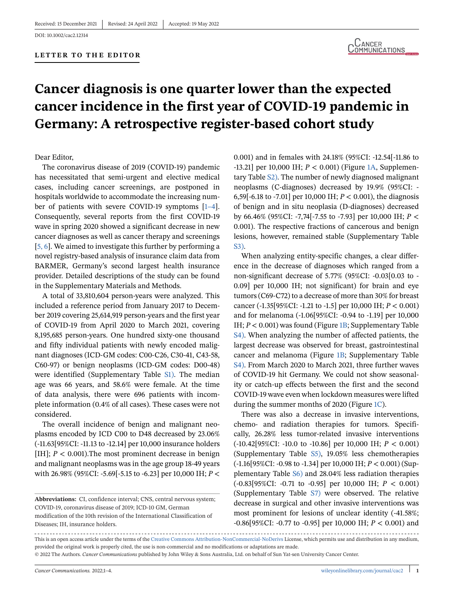# **Cancer diagnosis is one quarter lower than the expected cancer incidence in the first year of COVID-19 pandemic in Germany: A retrospective register-based cohort study**

### Dear Editor,

The coronavirus disease of 2019 (COVID-19) pandemic has necessitated that semi-urgent and elective medical cases, including cancer screenings, are postponed in hospitals worldwide to accommodate the increasing number of patients with severe COVID-19 symptoms [\[1–4\]](#page-3-0). Consequently, several reports from the first COVID-19 wave in spring 2020 showed a significant decrease in new cancer diagnoses as well as cancer therapy and screenings [\[5, 6\]](#page-3-0). We aimed to investigate this further by performing a novel registry-based analysis of insurance claim data from BARMER, Germany's second largest health insurance provider. Detailed descriptions of the study can be found in the Supplementary Materials and Methods.

A total of 33,810,604 person-years were analyzed. This included a reference period from January 2017 to December 2019 covering 25,614,919 person-years and the first year of COVID-19 from April 2020 to March 2021, covering 8,195,685 person-years. One hundred sixty-one thousand and fifty individual patients with newly encoded malignant diagnoses (ICD-GM codes: C00-C26, C30-41, C43-58, C60-97) or benign neoplasms (ICD-GM codes: D00-48) were identified (Supplementary Table S1). The median age was 66 years, and 58.6% were female. At the time of data analysis, there were 696 patients with incomplete information (0.4% of all cases). These cases were not considered.

The overall incidence of benign and malignant neoplasms encoded by ICD C00 to D48 decreased by 23.06% (-11.63[95%CI: -11.13 to -12.14] per 10,000 insurance holders [IH];  $P < 0.001$ ). The most prominent decrease in benign and malignant neoplasms was in the age group 18-49 years with 26.98% (95%CI: -5.69[-5.15 to -6.23] per 10,000 IH; *P* <

0.001) and in females with 24.18% (95%CI: -12.54[-11.86 to -13.21] per 10,000 IH; *P* < 0.001) (Figure [1A,](#page-1-0) Supplementary Table S2). The number of newly diagnosed malignant neoplasms (C-diagnoses) decreased by 19.9% (95%CI: - 6,59[-6.18 to -7.01] per 10,000 IH; *P* < 0.001), the diagnosis of benign and in situ neoplasia (D-diagnoses) decreased by 66.46% (95%CI: -7,74[-7.55 to -7.93] per 10,000 IH; *P* < 0.001). The respective fractions of cancerous and benign lesions, however, remained stable (Supplementary Table S3).

When analyzing entity-specific changes, a clear difference in the decrease of diagnoses which ranged from a non-significant decrease of 5.77% (95%CI: -0.03[0.03 to - 0.09] per 10,000 IH; not significant) for brain and eye tumors (C69-C72) to a decrease of more than 30% for breast cancer (-1.35[95%CI: -1.21 to -1.5] per 10,000 IH; *P* < 0.001) and for melanoma (-1.06[95%CI: -0.94 to -1.19] per 10,000 IH; *P* < 0.001) was found (Figure [1B;](#page-1-0) Supplementary Table S4). When analyzing the number of affected patients, the largest decrease was observed for breast, gastrointestinal cancer and melanoma (Figure [1B;](#page-1-0) Supplementary Table S4). From March 2020 to March 2021, three further waves of COVID-19 hit Germany. We could not show seasonality or catch-up effects between the first and the second COVID-19 wave even when lockdown measures were lifted during the summer months of 2020 (Figure [1C\)](#page-1-0).

There was also a decrease in invasive interventions, chemo- and radiation therapies for tumors. Specifically, 26.28% less tumor-related invasive interventions (-10.42[95%CI: -10.0 to -10.86] per 10,000 IH; *P* < 0.001) (Supplementary Table S5), 19.05% less chemotherapies (-1.16[95%CI: -0.98 to -1.34] per 10,000 IH; *P* < 0.001) (Supplementary Table S6) and 28.04% less radiation therapies (-0.83[95%CI: -0.71 to -0.95] per 10,000 IH; *P* < 0.001) (Supplementary Table S7) were observed. The relative decrease in surgical and other invasive interventions was most prominent for lesions of unclear identity (-41.58%; -0.86[95%CI: -0.77 to -0.95] per 10,000 IH; *P* < 0.001) and

**Abbreviations:** CI, confidence interval; CNS, central nervous system; COVID-19, coronavirus disease of 2019; ICD-10 GM, German modification of the 10th revision of the International Classification of Diseases; IH, insurance holders.

This is an open access article under the terms of the [Creative Commons Attribution-NonCommercial-NoDerivs](http://creativecommons.org/licenses/by-nc-nd/4.0/) License, which permits use and distribution in any medium, provided the original work is properly cited, the use is non-commercial and no modifications or adaptations are made. © 2022 The Authors. *Cancer Communications* published by John Wiley & Sons Australia, Ltd. on behalf of Sun Yat-sen University Cancer Center.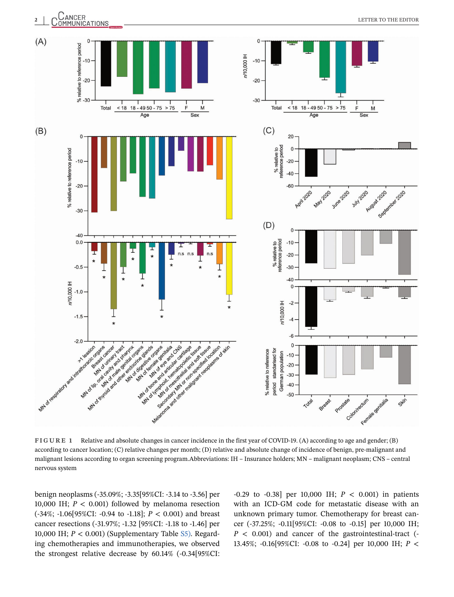<span id="page-1-0"></span>

**FIGURE 1** Relative and absolute changes in cancer incidence in the first year of COVID-19. (A) according to age and gender; (B) according to cancer location; (C) relative changes per month; (D) relative and absolute change of incidence of benign, pre-malignant and malignant lesions according to organ screening program.Abbreviations: IH – Insurance holders; MN – malignant neoplasm; CNS – central nervous system

benign neoplasms (-35.09%; -3.35[95%CI: -3.14 to -3.56] per 10,000 IH; *P* < 0.001) followed by melanoma resection (-34%; -1.06[95%CI: -0.94 to -1.18]; *P* < 0.001) and breast cancer resections (-31.97%; -1.32 [95%CI: -1.18 to -1.46] per 10,000 IH; *P* < 0.001) (Supplementary Table S5). Regarding chemotherapies and immunotherapies, we observed the strongest relative decrease by 60.14% (-0.34[95%CI:

-0.29 to -0.38] per 10,000 IH; *P* < 0.001) in patients with an ICD-GM code for metastatic disease with an unknown primary tumor. Chemotherapy for breast cancer (-37.25%; -0.11[95%CI: -0.08 to -0.15] per 10,000 IH; *P* < 0.001) and cancer of the gastrointestinal-tract (- 13.45%; -0.16[95%CI: -0.08 to -0.24] per 10,000 IH; *P* <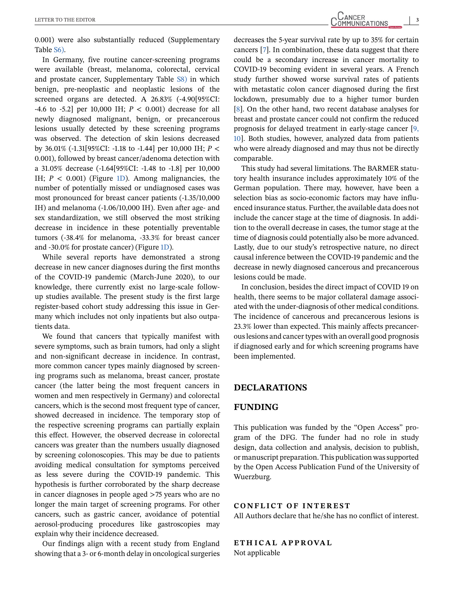0.001) were also substantially reduced (Supplementary Table S6).

In Germany, five routine cancer-screening programs were available (breast, melanoma, colorectal, cervical and prostate cancer, Supplementary Table S8) in which benign, pre-neoplastic and neoplastic lesions of the screened organs are detected. A 26.83% (-4.90[95%CI: -4.6 to -5.2] per 10,000 IH; *P* < 0.001) decrease for all newly diagnosed malignant, benign, or precancerous lesions usually detected by these screening programs was observed. The detection of skin lesions decreased by 36.01% (-1.31[95%CI: -1.18 to -1.44] per 10,000 IH; *P* < 0.001), followed by breast cancer/adenoma detection with a 31.05% decrease (-1.64[95%CI: -1.48 to -1.8] per 10,000 IH;  $P < 0.001$ ) (Figure [1D\)](#page-1-0). Among malignancies, the number of potentially missed or undiagnosed cases was most pronounced for breast cancer patients (-1.35/10,000 IH) and melanoma (-1.06/10,000 IH). Even after age- and sex standardization, we still observed the most striking decrease in incidence in these potentially preventable tumors (-38.4% for melanoma, -33.3% for breast cancer and -30.0% for prostate cancer) (Figure [1D\)](#page-1-0).

While several reports have demonstrated a strong decrease in new cancer diagnoses during the first months of the COVID-19 pandemic (March-June 2020), to our knowledge, there currently exist no large-scale followup studies available. The present study is the first large register-based cohort study addressing this issue in Germany which includes not only inpatients but also outpatients data.

We found that cancers that typically manifest with severe symptoms, such as brain tumors, had only a slight and non-significant decrease in incidence. In contrast, more common cancer types mainly diagnosed by screening programs such as melanoma, breast cancer, prostate cancer (the latter being the most frequent cancers in women and men respectively in Germany) and colorectal cancers, which is the second most frequent type of cancer, showed decreased in incidence. The temporary stop of the respective screening programs can partially explain this effect. However, the observed decrease in colorectal cancers was greater than the numbers usually diagnosed by screening colonoscopies. This may be due to patients avoiding medical consultation for symptoms perceived as less severe during the COVID-19 pandemic. This hypothesis is further corroborated by the sharp decrease in cancer diagnoses in people aged >75 years who are no longer the main target of screening programs. For other cancers, such as gastric cancer, avoidance of potential aerosol-producing procedures like gastroscopies may explain why their incidence decreased.

Our findings align with a recent study from England showing that a 3- or 6-month delay in oncological surgeries decreases the 5-year survival rate by up to 35% for certain cancers [\[7\]](#page-3-0). In combination, these data suggest that there could be a secondary increase in cancer mortality to COVID-19 becoming evident in several years. A French study further showed worse survival rates of patients with metastatic colon cancer diagnosed during the first lockdown, presumably due to a higher tumor burden [\[8\]](#page-3-0). On the other hand, two recent database analyses for breast and prostate cancer could not confirm the reduced prognosis for delayed treatment in early-stage cancer [\[9,](#page-3-0) [10\]](#page-3-0). Both studies, however, analyzed data from patients who were already diagnosed and may thus not be directly comparable.

This study had several limitations. The BARMER statutory health insurance includes approximately 10% of the German population. There may, however, have been a selection bias as socio-economic factors may have influenced insurance status. Further, the available data does not include the cancer stage at the time of diagnosis. In addition to the overall decrease in cases, the tumor stage at the time of diagnosis could potentially also be more advanced. Lastly, due to our study's retrospective nature, no direct causal inference between the COVID-19 pandemic and the decrease in newly diagnosed cancerous and precancerous lesions could be made.

In conclusion, besides the direct impact of COVID 19 on health, there seems to be major collateral damage associated with the under-diagnosis of other medical conditions. The incidence of cancerous and precancerous lesions is 23.3% lower than expected. This mainly affects precancerous lesions and cancer types with an overall good prognosis if diagnosed early and for which screening programs have been implemented.

### **DECLARATIONS**

### **FUNDING**

This publication was funded by the "Open Access" program of the DFG. The funder had no role in study design, data collection and analysis, decision to publish, or manuscript preparation. This publication was supported by the Open Access Publication Fund of the University of Wuerzburg.

### **CONFLICT OF INTEREST**

All Authors declare that he/she has no conflict of interest.

## **ETH ICAL APPROVAL**

Not applicable